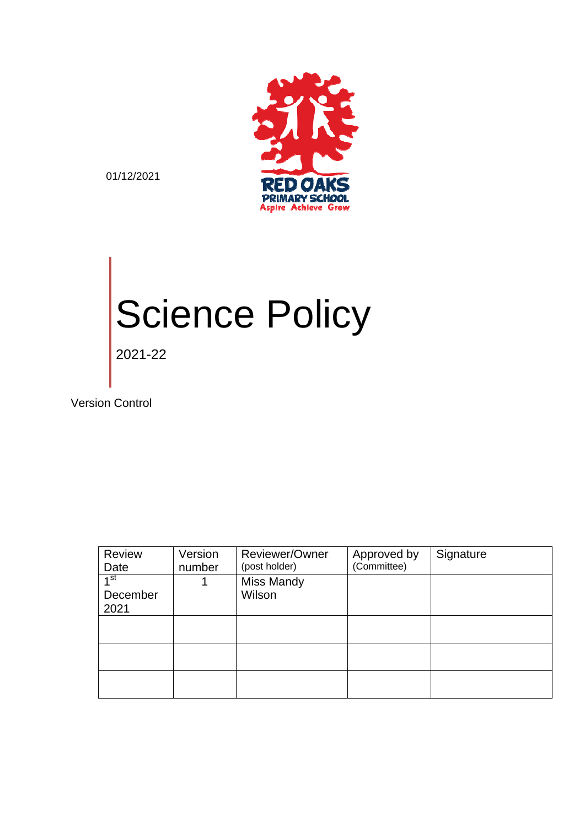

01/12/2021

# Science Policy 2021-22

Version Control

| Review<br>Date              | Version<br>number | Reviewer/Owner<br>(post holder) | Approved by<br>(Committee) | Signature |
|-----------------------------|-------------------|---------------------------------|----------------------------|-----------|
| 1 <sup>st</sup><br>December |                   | <b>Miss Mandy</b><br>Wilson     |                            |           |
| 2021                        |                   |                                 |                            |           |
|                             |                   |                                 |                            |           |
|                             |                   |                                 |                            |           |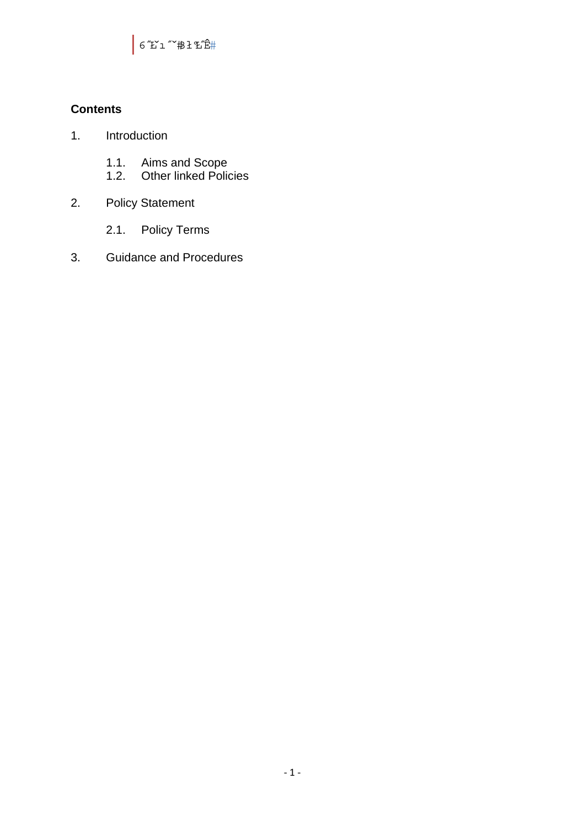6″£ĭı″<sup></sup>^#ł£i2″Ê#

# **Contents**

- 1. Introduction
	- 1.1. Aims and Scope
	- 1.2. Other linked Policies
- 2. Policy Statement
	- 2.1. Policy Terms
- 3. Guidance and Procedures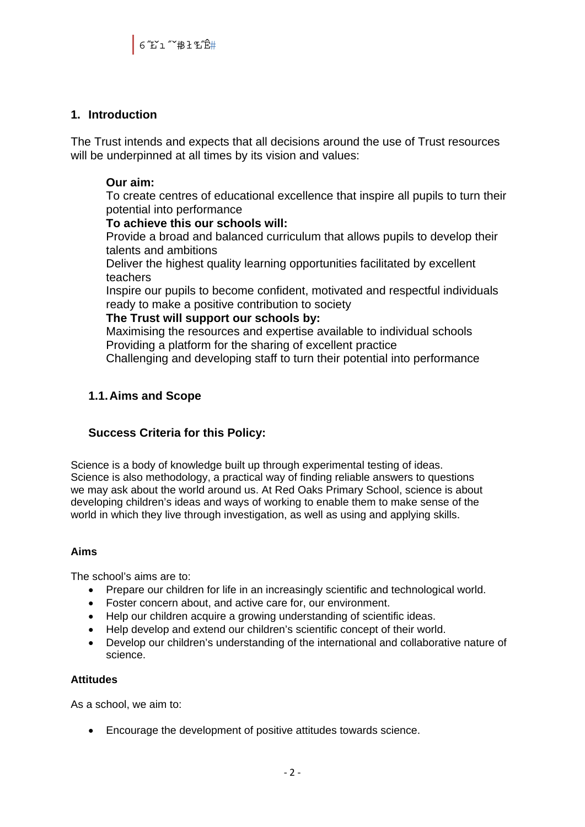# **1. Introduction**

The Trust intends and expects that all decisions around the use of Trust resources will be underpinned at all times by its vision and values:

# **Our aim:**

To create centres of educational excellence that inspire all pupils to turn their potential into performance

#### **To achieve this our schools will:**

Provide a broad and balanced curriculum that allows pupils to develop their talents and ambitions

Deliver the highest quality learning opportunities facilitated by excellent teachers

Inspire our pupils to become confident, motivated and respectful individuals ready to make a positive contribution to society

#### **The Trust will support our schools by:**

Maximising the resources and expertise available to individual schools Providing a platform for the sharing of excellent practice

Challenging and developing staff to turn their potential into performance

# **1.1. Aims and Scope**

# **Success Criteria for this Policy:**

Science is a body of knowledge built up through experimental testing of ideas. Science is also methodology, a practical way of finding reliable answers to questions we may ask about the world around us. At Red Oaks Primary School, science is about developing children's ideas and ways of working to enable them to make sense of the world in which they live through investigation, as well as using and applying skills.

#### **Aims**

The school's aims are to:

- Prepare our children for life in an increasingly scientific and technological world.
- Foster concern about, and active care for, our environment.
- Help our children acquire a growing understanding of scientific ideas.
- Help develop and extend our children's scientific concept of their world.
- Develop our children's understanding of the international and collaborative nature of science.

#### **Attitudes**

As a school, we aim to:

Encourage the development of positive attitudes towards science.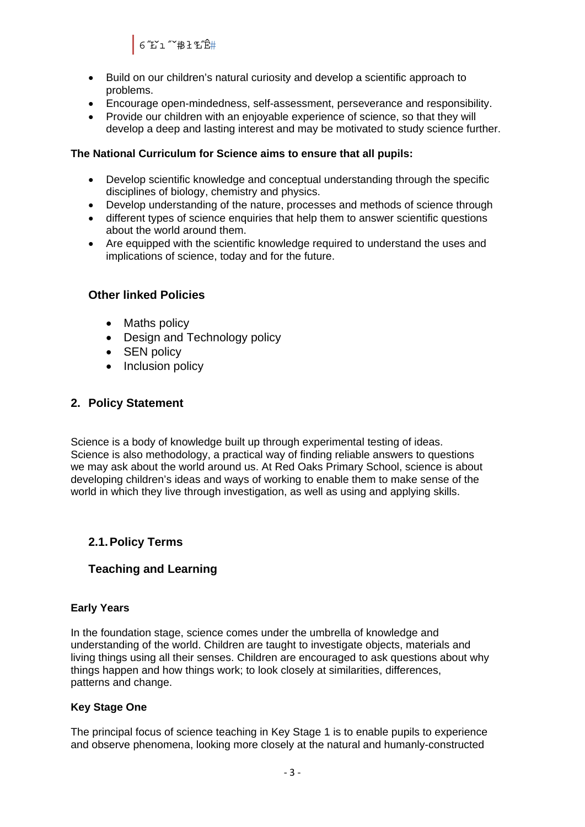6″£ĭı″<sup></sup>^#ł£i2″Ê#

- Build on our children's natural curiosity and develop a scientific approach to problems.
- Encourage open-mindedness, self-assessment, perseverance and responsibility.
- Provide our children with an enjoyable experience of science, so that they will develop a deep and lasting interest and may be motivated to study science further.

#### **The National Curriculum for Science aims to ensure that all pupils:**

- Develop scientific knowledge and conceptual understanding through the specific disciplines of biology, chemistry and physics.
- Develop understanding of the nature, processes and methods of science through
- different types of science enquiries that help them to answer scientific questions about the world around them.
- Are equipped with the scientific knowledge required to understand the uses and implications of science, today and for the future.

# **Other linked Policies**

- Maths policy
- Design and Technology policy
- SEN policy
- Inclusion policy

# **2. Policy Statement**

Science is a body of knowledge built up through experimental testing of ideas. Science is also methodology, a practical way of finding reliable answers to questions we may ask about the world around us. At Red Oaks Primary School, science is about developing children's ideas and ways of working to enable them to make sense of the world in which they live through investigation, as well as using and applying skills.

# **2.1. Policy Terms**

# **Teaching and Learning**

#### **Early Years**

In the foundation stage, science comes under the umbrella of knowledge and understanding of the world. Children are taught to investigate objects, materials and living things using all their senses. Children are encouraged to ask questions about why things happen and how things work; to look closely at similarities, differences, patterns and change.

#### **Key Stage One**

The principal focus of science teaching in Key Stage 1 is to enable pupils to experience and observe phenomena, looking more closely at the natural and humanly-constructed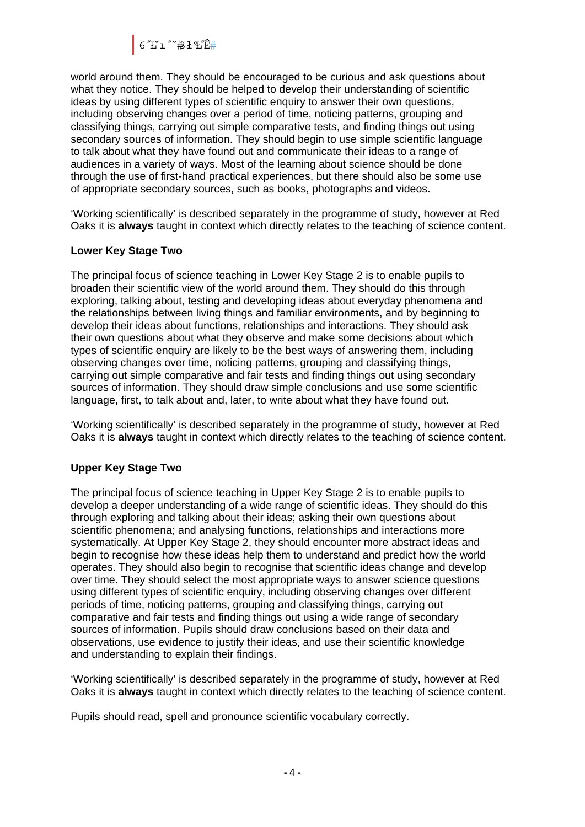6″£ĭı″<sup></sup>^#ł£i2″Ê#

world around them. They should be encouraged to be curious and ask questions about what they notice. They should be helped to develop their understanding of scientific ideas by using different types of scientific enquiry to answer their own questions, including observing changes over a period of time, noticing patterns, grouping and classifying things, carrying out simple comparative tests, and finding things out using secondary sources of information. They should begin to use simple scientific language to talk about what they have found out and communicate their ideas to a range of audiences in a variety of ways. Most of the learning about science should be done through the use of first-hand practical experiences, but there should also be some use of appropriate secondary sources, such as books, photographs and videos.

'Working scientifically' is described separately in the programme of study, however at Red Oaks it is **always** taught in context which directly relates to the teaching of science content.

#### **Lower Key Stage Two**

The principal focus of science teaching in Lower Key Stage 2 is to enable pupils to broaden their scientific view of the world around them. They should do this through exploring, talking about, testing and developing ideas about everyday phenomena and the relationships between living things and familiar environments, and by beginning to develop their ideas about functions, relationships and interactions. They should ask their own questions about what they observe and make some decisions about which types of scientific enquiry are likely to be the best ways of answering them, including observing changes over time, noticing patterns, grouping and classifying things, carrying out simple comparative and fair tests and finding things out using secondary sources of information. They should draw simple conclusions and use some scientific language, first, to talk about and, later, to write about what they have found out.

'Working scientifically' is described separately in the programme of study, however at Red Oaks it is **always** taught in context which directly relates to the teaching of science content.

# **Upper Key Stage Two**

The principal focus of science teaching in Upper Key Stage 2 is to enable pupils to develop a deeper understanding of a wide range of scientific ideas. They should do this through exploring and talking about their ideas; asking their own questions about scientific phenomena; and analysing functions, relationships and interactions more systematically. At Upper Key Stage 2, they should encounter more abstract ideas and begin to recognise how these ideas help them to understand and predict how the world operates. They should also begin to recognise that scientific ideas change and develop over time. They should select the most appropriate ways to answer science questions using different types of scientific enquiry, including observing changes over different periods of time, noticing patterns, grouping and classifying things, carrying out comparative and fair tests and finding things out using a wide range of secondary sources of information. Pupils should draw conclusions based on their data and observations, use evidence to justify their ideas, and use their scientific knowledge and understanding to explain their findings.

'Working scientifically' is described separately in the programme of study, however at Red Oaks it is **always** taught in context which directly relates to the teaching of science content.

Pupils should read, spell and pronounce scientific vocabulary correctly.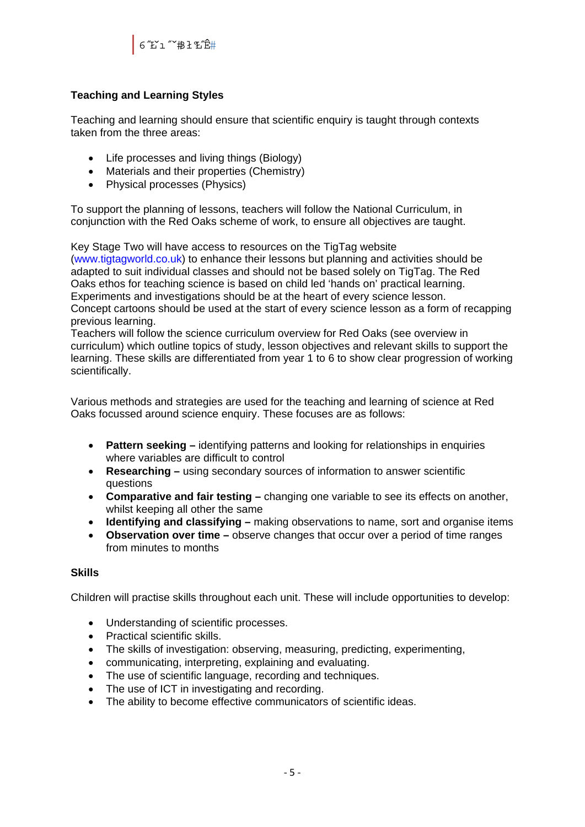

# **Teaching and Learning Styles**

Teaching and learning should ensure that scientific enquiry is taught through contexts taken from the three areas:

- Life processes and living things (Biology)
- Materials and their properties (Chemistry)
- Physical processes (Physics)

To support the planning of lessons, teachers will follow the National Curriculum, in conjunction with the Red Oaks scheme of work, to ensure all objectives are taught.

Key Stage Two will have access to resources on the TigTag website (www.tigtagworld.co.uk) to enhance their lessons but planning and activities should be adapted to suit individual classes and should not be based solely on TigTag. The Red Oaks ethos for teaching science is based on child led 'hands on' practical learning. Experiments and investigations should be at the heart of every science lesson. Concept cartoons should be used at the start of every science lesson as a form of recapping previous learning.

Teachers will follow the science curriculum overview for Red Oaks (see overview in curriculum) which outline topics of study, lesson objectives and relevant skills to support the learning. These skills are differentiated from year 1 to 6 to show clear progression of working scientifically.

Various methods and strategies are used for the teaching and learning of science at Red Oaks focussed around science enquiry. These focuses are as follows:

- **Pattern seeking** identifying patterns and looking for relationships in enquiries where variables are difficult to control
- **Researching** using secondary sources of information to answer scientific questions
- **Comparative and fair testing** changing one variable to see its effects on another, whilst keeping all other the same
- **Identifying and classifying** making observations to name, sort and organise items
- **Observation over time** observe changes that occur over a period of time ranges from minutes to months

#### **Skills**

Children will practise skills throughout each unit. These will include opportunities to develop:

- Understanding of scientific processes.
- Practical scientific skills.
- The skills of investigation: observing, measuring, predicting, experimenting,
- communicating, interpreting, explaining and evaluating.
- The use of scientific language, recording and techniques.
- The use of ICT in investigating and recording.
- The ability to become effective communicators of scientific ideas.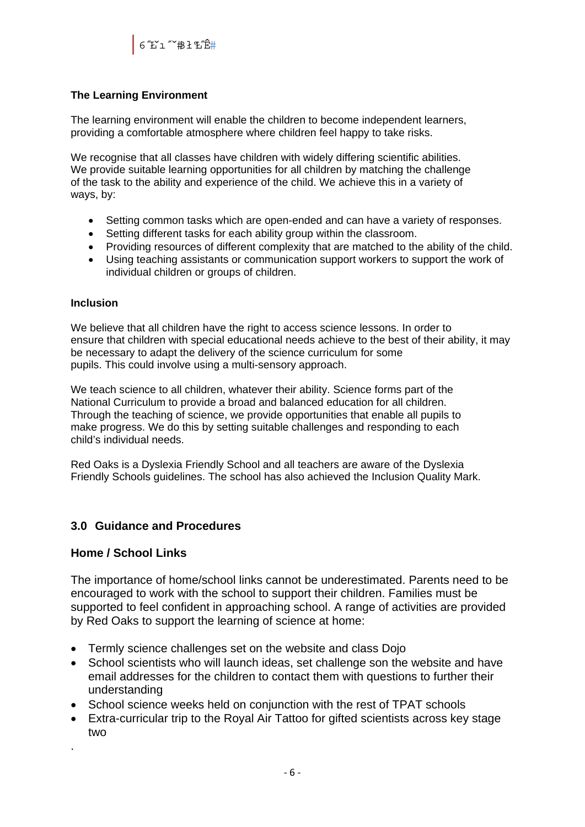# **The Learning Environment**

The learning environment will enable the children to become independent learners, providing a comfortable atmosphere where children feel happy to take risks.

We recognise that all classes have children with widely differing scientific abilities. We provide suitable learning opportunities for all children by matching the challenge of the task to the ability and experience of the child. We achieve this in a variety of ways, by:

- Setting common tasks which are open-ended and can have a variety of responses.
- Setting different tasks for each ability group within the classroom.
- Providing resources of different complexity that are matched to the ability of the child.
- Using teaching assistants or communication support workers to support the work of individual children or groups of children.

#### **Inclusion**

We believe that all children have the right to access science lessons. In order to ensure that children with special educational needs achieve to the best of their ability, it may be necessary to adapt the delivery of the science curriculum for some pupils. This could involve using a multi-sensory approach.

We teach science to all children, whatever their ability. Science forms part of the National Curriculum to provide a broad and balanced education for all children. Through the teaching of science, we provide opportunities that enable all pupils to make progress. We do this by setting suitable challenges and responding to each child's individual needs.

Red Oaks is a Dyslexia Friendly School and all teachers are aware of the Dyslexia Friendly Schools guidelines. The school has also achieved the Inclusion Quality Mark.

# **3.0 Guidance and Procedures**

# **Home / School Links**

The importance of home/school links cannot be underestimated. Parents need to be encouraged to work with the school to support their children. Families must be supported to feel confident in approaching school. A range of activities are provided by Red Oaks to support the learning of science at home:

- Termly science challenges set on the website and class Dojo
- School scientists who will launch ideas, set challenge son the website and have email addresses for the children to contact them with questions to further their understanding
- School science weeks held on conjunction with the rest of TPAT schools
- Extra-curricular trip to the Royal Air Tattoo for gifted scientists across key stage two
- .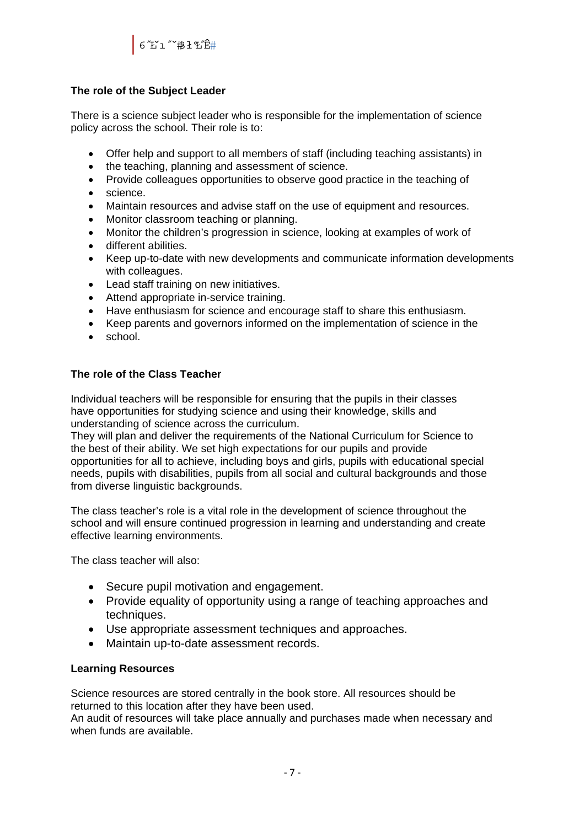#### **The role of the Subject Leader**

There is a science subject leader who is responsible for the implementation of science policy across the school. Their role is to:

- Offer help and support to all members of staff (including teaching assistants) in
- the teaching, planning and assessment of science.
- Provide colleagues opportunities to observe good practice in the teaching of
- science.
- Maintain resources and advise staff on the use of equipment and resources.
- Monitor classroom teaching or planning.
- Monitor the children's progression in science, looking at examples of work of
- different abilities.
- Keep up-to-date with new developments and communicate information developments with colleagues.
- Lead staff training on new initiatives.
- Attend appropriate in-service training.
- Have enthusiasm for science and encourage staff to share this enthusiasm.
- Keep parents and governors informed on the implementation of science in the
- school.

#### **The role of the Class Teacher**

Individual teachers will be responsible for ensuring that the pupils in their classes have opportunities for studying science and using their knowledge, skills and understanding of science across the curriculum.

They will plan and deliver the requirements of the National Curriculum for Science to the best of their ability. We set high expectations for our pupils and provide opportunities for all to achieve, including boys and girls, pupils with educational special needs, pupils with disabilities, pupils from all social and cultural backgrounds and those from diverse linguistic backgrounds.

The class teacher's role is a vital role in the development of science throughout the school and will ensure continued progression in learning and understanding and create effective learning environments.

The class teacher will also:

- Secure pupil motivation and engagement.
- Provide equality of opportunity using a range of teaching approaches and techniques.
- Use appropriate assessment techniques and approaches.
- Maintain up-to-date assessment records.

#### **Learning Resources**

Science resources are stored centrally in the book store. All resources should be returned to this location after they have been used.

An audit of resources will take place annually and purchases made when necessary and when funds are available.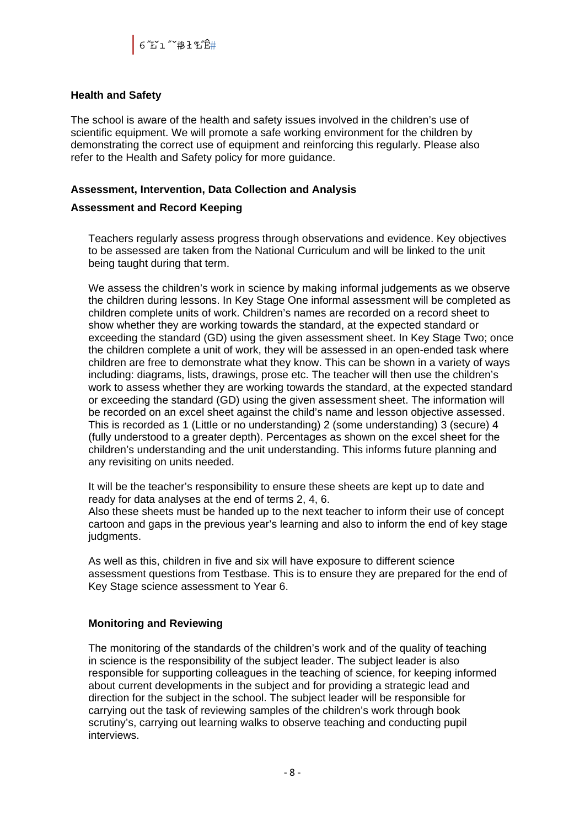#### **Health and Safety**

The school is aware of the health and safety issues involved in the children's use of scientific equipment. We will promote a safe working environment for the children by demonstrating the correct use of equipment and reinforcing this regularly. Please also refer to the Health and Safety policy for more guidance.

#### **Assessment, Intervention, Data Collection and Analysis**

#### **Assessment and Record Keeping**

Teachers regularly assess progress through observations and evidence. Key objectives to be assessed are taken from the National Curriculum and will be linked to the unit being taught during that term.

We assess the children's work in science by making informal judgements as we observe the children during lessons. In Key Stage One informal assessment will be completed as children complete units of work. Children's names are recorded on a record sheet to show whether they are working towards the standard, at the expected standard or exceeding the standard (GD) using the given assessment sheet. In Key Stage Two; once the children complete a unit of work, they will be assessed in an open-ended task where children are free to demonstrate what they know. This can be shown in a variety of ways including: diagrams, lists, drawings, prose etc. The teacher will then use the children's work to assess whether they are working towards the standard, at the expected standard or exceeding the standard (GD) using the given assessment sheet. The information will be recorded on an excel sheet against the child's name and lesson objective assessed. This is recorded as 1 (Little or no understanding) 2 (some understanding) 3 (secure) 4 (fully understood to a greater depth). Percentages as shown on the excel sheet for the children's understanding and the unit understanding. This informs future planning and any revisiting on units needed.

It will be the teacher's responsibility to ensure these sheets are kept up to date and ready for data analyses at the end of terms 2, 4, 6.

Also these sheets must be handed up to the next teacher to inform their use of concept cartoon and gaps in the previous year's learning and also to inform the end of key stage judgments.

As well as this, children in five and six will have exposure to different science assessment questions from Testbase. This is to ensure they are prepared for the end of Key Stage science assessment to Year 6.

#### **Monitoring and Reviewing**

The monitoring of the standards of the children's work and of the quality of teaching in science is the responsibility of the subject leader. The subject leader is also responsible for supporting colleagues in the teaching of science, for keeping informed about current developments in the subject and for providing a strategic lead and direction for the subject in the school. The subject leader will be responsible for carrying out the task of reviewing samples of the children's work through book scrutiny's, carrying out learning walks to observe teaching and conducting pupil interviews.